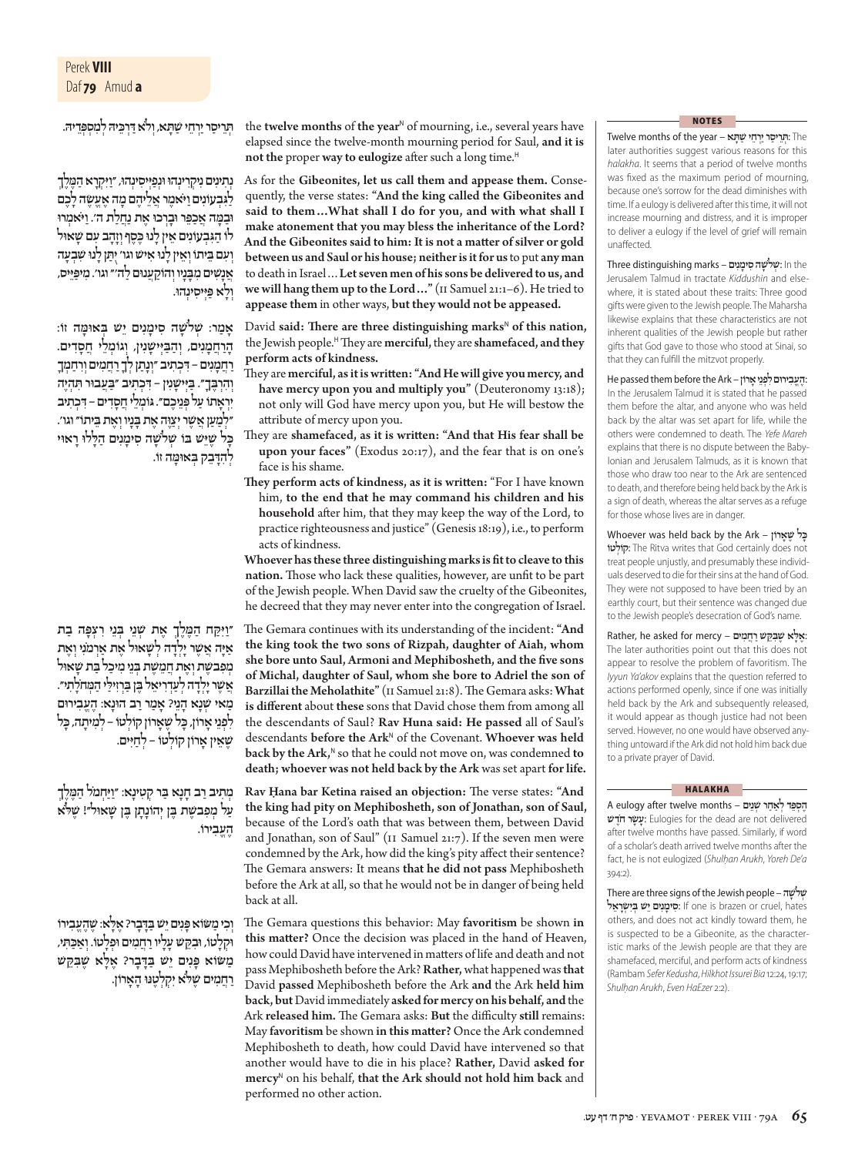# Perek **VIII** Daf **79** Amud **a**

**ּכ ּיה ְל ִמ ְסְּפֵד ּיה. ְּתֵר ַיסרַיְרֵחי ַׁשָּתא, ְולֹאַּדְרֵ**

**ְנִת ִינים ִנ ְיקִר ְינ ּהו ּוְנַפְיּ ִיס ְינ ּהו, ַ״וִיּ ְקָרא ַה ֶּמֶל ְך ַלִּג ְב ִעוֹניםַויֹּ ֶאמרֲאֵל ֶיהם ָמה ֶאֱע ֶׂשה ָלֶכם ּוַב ָּמה ֲאַכֵּפר ּוָבְר ּכו ֶאת ַנֲחַלת ה׳. ַויֹּ ְאמ ּרו ּכֶסף ְוָזָהב ִעם ָׁש ּאול לוֹ ַהִּג ְב ִעוֹנים ֵאין ָל ּנו ֶ ְו ִעם ֵּביתוֹ ְוֵאין ָל ּנו ִא ׁישוגו׳ ֻי ַּתן ָל ּנו ׁ ִשְבָעה ֲאָנׁ ִשים ִמָּבָניו ְו ַהוֹקֲע ּנום ַלה׳״וגו׳. ִמ ַּיפֵיּיס, ְוָלא ַּפְיּ ִיס ְינ ּהו.** 

**ָאַמר: ׁ ְשלֹ ָׁשה ִס ָימִנים ֵי ׁש ְּב ּאו ָּמה זוֹ: ָהַרֲחָמִנים, ְוַהַּבְיּ ָׁ ישִנין, ְו ְ גוֹמֵלי ֲחָסִדים. ַרֲחָמִנים – ִ ּד ְכ ִתיב ְ״וָנַתן ְלָךַרֲח ִמים ְוִרַח ְמָך ְו ִהְרֶּבָך״. ַּבְיּ ָׁ ישִנין – ִ ּד ְכ ִתיב ַּ״בֲע ּבור ִּת ְהֶיה ִיְרָאתוֹ ַעל ְּפֵנ ֶיכם״. ּג ְוֹמֵליֲחָסִדים – ִ ּד ְכ ִתיב ְ״לַמַעןֲאֶׁשר ְיַצֶּוה ֶאת ָּבָניו ְוֶאת ֵּביתוֹ״וגו׳. ּל ּלוָר ּאוי ּכל ֶׁשֵיּׁש ּבוֹ ׁ ְשלֹ ָׁשה ִס ָימִנים ַהָ ָ ְל ִהָּדֵבק ְּב ּאו ָּמה זוֹ.**

**ַ״וִיַּּקח ַה ֶּמֶל ְך ֶאת ׁ ְשֵני ְּבֵני ִר ְצ ָּפה ַבת ַאָיּה ֲאֶׁשרָי ְלָדה ְל ָׁש ּאול ֶאת ַאְרמֹ ִני ְוֶאת ְמ ִפ ֶׁבשתְוֶאתֲחֵמֶׁשת ְּבֵני ִמ ַיכל ַּבת ָׁש ּאול ֲאֶׁשרָי ְלָדה ְלַעְדִר ֵיאל ֶּבן ַּבְרִז ַּילי ַה ְּמחָֹל ִתי״. ַמאי ׁ ְשָנא ָהֵני? ָאַמרַרב ּהוָנא: ֶהֱע ִב ּ ירום ּכל ּכל ֶׁשָארוֹן ְקוֹלטוֹ – ְל ִמ ָיתה, ָ ִל ְפֵני ָארוֹן, ָ ֶׁשֵאין ָארוֹן ְקוֹלטוֹ – ְלַחִיּים.** 

**ְמ ִתיבַרב ָחָנא ַּבר ְק ִט ָינא: ַ״וַיּ ְחמֹל ַה ֶּמֶל ְך ַעל ְמ ִפ ֶׁבשת ֶּבן ְי ָהוֹנָתן ֶּבן ָׁש ּאול״! ֶׁשּלֹא ֶהֱע ִבירוֹ.** 

**ְו ִכי ַמ ּ ׂשוֹא ָּפִניםֵיׁש ַּבָּדָבר? ֶאָּלא: ֶׁשֶהֱע ִבירוֹ ּכ ִּתי, ּו ְקָלטוֹ, ּוִבֵּקׁש ָעָליוַרֲח ִמים ּו ְפָלטוֹ. ְוַאַ ַמ ּ ׂשוֹא ָּפִנים ֵי ׁש ַּבָּדָבר? ֶאָּלא ֶׁשִּבֵּק ׁש ַרֲח ִמים ֶׁשּלֹא ִי ְקְלֶטּנּו ָהָארוֹן.**

the **twelve months** of the year<sup>N</sup> of mourning, i.e., several years have elapsed since the twelve-month mourning period for Saul, **and it is not the proper way to eulogize** after such a long time.<sup>H</sup>

As for the **Gibeonites, let us call them and appease them.** Consequently, the verse states: **"And the king called the Gibeonites and said to them…What shall I do for you, and with what shall I make atonement that you may bless the inheritance of the Lord?**  And the Gibeonites said to him: It is not a matter of silver or gold **between us and Saul or his house; neither is it for us** to put **any man**  to death in Israel…**Let seven men of his sons be delivered to us, and we will hang them up to the Lord...**" (II Samuel 21:1-6). He tried to **appease them** in other ways, **but they would not be appeased.**

David said: There are three distinguishing marks<sup>N</sup> of this nation, the Jewish people.<sup>H</sup> They are **merciful**, they are **shamefaced**, and they **perform acts of kindness.** 

- They are **merciful**, as it is written: "And He will give you mercy, and have mercy upon you and multiply you" (Deuteronomy 13:18); not only will God have mercy upon you, but He will bestow the attribute of mercy upon you.
- They are shamefaced, as it is written: "And that His fear shall be upon your faces" (Exodus 20:17), and the fear that is on one's face is his shame.
- They perform acts of kindness, as it is written: "For I have known him, **to the end that he may command his children and his**  household after him, that they may keep the way of the Lord, to practice righteousness and justice" (Genesis 18:19), i.e., to perform acts of kindness.

Whoever has these three distinguishing marks is fit to cleave to this nation. Those who lack these qualities, however, are unfit to be part of the Jewish people. When David saw the cruelty of the Gibeonites, he decreed that they may never enter into the congregation of Israel.

The Gemara continues with its understanding of the incident: "And **the king took the two sons of Rizpah, daughter of Aiah, whom she bore unto Saul, Armoni and Mephibosheth, and the fi ve sons of Michal, daughter of Saul, whom she bore to Adriel the son of**  Barzillai the Meholathite" (II Samuel 21:8). The Gemara asks: What **is diff erent** about **these** sons that David chose them from among all the descendants of Saul? **Rav Huna said: He passed** all of Saul's descendants **before the Ark**<sup>N</sup> of the Covenant. **Whoever was held** back by the Ark,<sup>N</sup> so that he could not move on, was condemned to **death; whoever was not held back by the Ark** was set apart **for life.**

**Rav Hana bar Ketina raised an objection:** The verse states: "And **the king had pity on Mephibosheth, son of Jonathan, son of Saul,**  because of the Lord's oath that was between them, between David and Jonathan, son of Saul" ( $\text{II}$  Samuel 21:7). If the seven men were condemned by the Ark, how did the king's pity affect their sentence? The Gemara answers: It means that he did not pass Mephibosheth before the Ark at all, so that he would not be in danger of being held back at all.

The Gemara questions this behavior: May favoritism be shown in **this matt er?** Once the decision was placed in the hand of Heaven, how could David have intervened in matters of life and death and not pass Mephibosheth before the Ark? **Rather,** what happened was **that**  David **passed** Mephibosheth before the Ark **and** the Ark **held him back, but** David immediately **asked for mercy on his behalf, and** the Ark released him. The Gemara asks: But the difficulty still remains: May **favoritism** be shown **in this matt er?** Once the Ark condemned Mephibosheth to death, how could David have intervened so that another would have to die in his place? **Rather,** David **asked for mercy**<sup>N</sup> on his behalf, **that the Ark should not hold him back** and performed no other action.



 The : **ְּתֵר ַיסרַיְרֵחי ַׁשָּתא** – year the of months Twelve later authorities suggest various reasons for this *halakha*. It seems that a period of twelve months was fixed as the maximum period of mourning, because one's sorrow for the dead diminishes with time. If a eulogy is delivered after this time, it will not increase mourning and distress, and it is improper to deliver a eulogy if the level of grief will remain unaffected.

 the In : **ׁ ְשלֹ ָׁשה ִס ָימִנים** – marks distinguishing Three Jerusalem Talmud in tractate *Kiddushin* and elsewhere, it is stated about these traits: Three good gifts were given to the Jewish people. The Maharsha likewise explains that these characteristics are not inherent qualities of the Jewish people but rather gifts that God gave to those who stood at Sinai, so that they can fulfill the mitzvot properly.

**ֶ**:**הֱע ִב ּ ירום ִל ְפֵני ָארוֹן** – Ark the before them passed He In the Jerusalem Talmud it is stated that he passed them before the altar, and anyone who was held back by the altar was set apart for life, while the others were condemned to death. The *Yefe Mareh* explains that there is no dispute between the Babylonian and Jerusalem Talmuds, as it is known that those who draw too near to the Ark are sentenced to death, and therefore being held back by the Ark is a sign of death, whereas the altar serves as a refuge for those whose lives are in danger

 Whoever was held back by the Ark – **ארוֹןָשֶׁ כלָּ קוֹלטוְֹ** : The Ritva writes that God certainly does not treat people unjustly, and presumably these individuals deserved to die for their sins at the hand of God. They were not supposed to have been tried by an earthly court, but their sentence was changed due to the Jewish people's desecration of God's name.

**Rather, he asked for mercy – שִׁבֵּקְשׁ רַחְמִים** The later authorities point out that this does not appear to resolve the problem of favoritism. The *Iyyun Ya'akov* explains that the question referred to actions performed openly, since if one was initially held back by the Ark and subsequently released, it would appear as though justice had not been served. However, no one would have observed anything untoward if the Ark did not hold him back due to a private prayer of David.

## **HALAKHA**

**ֶה ְסֵּפד ְלַאַחר ׁ ְשֵנים** – months twelve after eulogy A **שׁ דֶֹח שרָׂעָ**: Eulogies for the dead are not delivered after twelve months have passed. Similarly, if word of a scholar's death arrived twelve months after the fact, he is not eulogized (*Shulĥan Arukh*, *Yoreh De'a* 394:2).

 There are three signs of the Jewish people – **שהָׁ ֹשלְ ׁ** hates ,cruel or brazen is one If : **ִס ָימִנים ֵיׁש ְּבִי ְׂשָרֵאל** others, and does not act kindly toward them, he is suspected to be a Gibeonite, as the characteristic marks of the Jewish people are that they are shamefaced, merciful, and perform acts of kindness (Rambam *Sefer Kedusha*, *Hilkhot Issurei Bia* 12:24, 19:17; *Shulĥan Arukh*, *Even HaEzer* 2:2).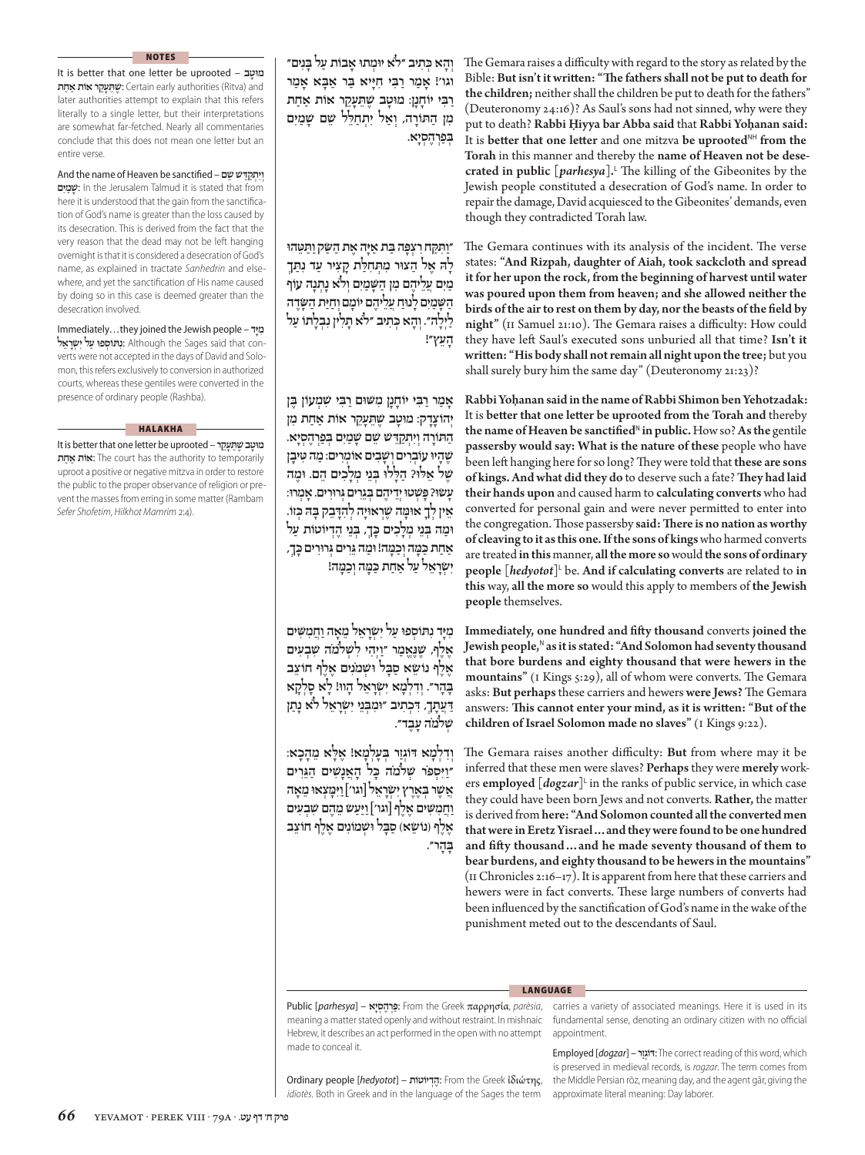#### **NOTES**

 It is better that one letter be uprooted – **טבָמוּ** and) Ritva (authorities early Certain : **ֶׁשֵּתָעֵקר אוֹת ַאַחת** later authorities attempt to explain that this refers literally to a single letter, but their interpretations are somewhat far-fetched. Nearly all commentaries conclude that this does not mean one letter but an entire verse.

**And the name of Heaven be sanctified – <del>שם</del> יםִמַשָׁ** : In the Jerusalem Talmud it is stated that from here it is understood that the gain from the sanctification of God's name is greater than the loss caused by its desecration. This is derived from the fact that the very reason that the dead may not be left hanging overnight is that it is considered a desecration of God's name, as explained in tractate *Sanhedrin* and elsewhere, and yet the sanctification of His name caused by doing so in this case is deemed greater than the desecration involved.

 Immediately…they joined the Jewish people – **יּדָמִ אלֵרָשְׂ יִ עלַ פוּ וֹסְ תּנִ**: Although the Sages said that converts were not accepted in the days of David and Solomon, this refers exclusively to conversion in authorized courts, whereas these gentiles were converted in the presence of ordinary people (Rashba).

#### **HALAKHA**

 It is better that one letter be uprooted – **קרֵעָתֵּשֶׁ טבָמוּ חתַאַ אוֹת**: The court has the authority to temporarily uproot a positive or negative mitzva in order to restore the public to the proper observance of religion or prevent the masses from erring in some matter (Rambam *Sefer Shofetim*, *Hilkhot Mamrim* 2:4).

**ּכ ִתיב ״לֹא ּיו ְמ ּתו ָאבוֹת ַעל ָּבִנים״ ְוָהא ְ וגו׳! ָאַמר ַרִּבי ִחָיּיא ַּבר ַאָּבא ָאַמר ַרִּבי ָ יוֹחָנן: ּמוָטב ֶׁש ֵּתָעֵקר אוֹת ַאַחת ִמן ַה ּתָוֹרה, ְוַאל ִי ְתַחֵּלל ֵׁשם ָׁשַמִים ְּבַפְרֶה ְסָיא.**

**ַ״ו ִּתַּקח ִרְצָּפה ַּבת ַאָיּה ֶאת ַה ַּׂשקַו ַּת ֵּט ּהו ָל ּה ֶאל ַה ּצור ִמ ְּת ִחַּלת ָק ִציר ַעד ִנ ַּת ְך ַמִים ֲעֵל ֶיהם ִמן ַהָּׁשַמִים ְולֹא ָנְתָנה עוֹף ַהָּׁשַמִים ָל ּנוחֲעֵל ֶיהם ָ יוֹמם ְוַחַיּת ַה ָּׂשֶדה ּכ ִתיב ״לֹא ָתִלין ִנ ְבָלתוֹ ַעל ַלְיָלה״. ְוָהא ְ ָהֵעץ״!** 

**ָאַמרַרִּבי ָ יוֹחָנן ִמּׁשּום ַרִּבי ׁ ִש ְמעוֹן ֶּבן ְי ָהוֹצָדק: ּמוָטב ֶׁשֵּתָעֵקר אוֹת ַאַחת ִמן ַה ּתָוֹרה ְוִי ְתַקֵּד ׁש ֵׁשם ָׁשַמִים ְּבַפְרֶה ְסָיא. ֶׁשָה ּיו ְעוֹבִרים ְו ָׁשִבים ְאוֹמִרים: ַמה ִּט ָיבן ּל ּלו ְּבֵני ְמָל ִכים ֵהם. ּוֶמה ֶׁשל ֵא ּל ּו? ַהָ ָע ׂשּו? ָּפׁ ְש ּטו ְיֵד ֶיהם ְּבֵגִרים ְּג ּרוִרים. ָא ְמ ּרו: ּכזוֹ. ֵאין ְלָך ּאו ָּמה ֶׁשְר ּאוָיה ְל ִהָּדֵבק ָּב ּה ְ ּכ ְך, ְּבֵני ֶהְדיוֹטוֹת ַעל ּוַמה ְּבֵני ְמָל ִכים ָ ּכ ְך, ּכ ָּמה ְוַכ ָּמה! ּוַמהֵּגִרים ְּג ּרוִרים ָ ַאַחת ַ ּכ ָּמה ְוַכ ָּמה! ִי ְׂשָרֵאל ַעל ַאַחת ַ**

**ִמָיּד ִנ ּת ְוֹס ּפו ַעל ִי ְׂשָרֵאל ֵמָאהַוֲח ִמִּׁשים ֶאֶלף, ֶׁשֶּנֱאַמר ַ״וְי ִהי ִל ׁ ְשלֹמֹה ׁ ִשְב ִעים ֶאֶלף ֵׂ נוֹשא ַסָּבל ּו ׁ ְשמֹ ִנים ֶאֶלף ֵחוֹצב ָּבָהר״. ְוִד ְלָמא ִי ְׂשָרֵאל ָה ּוו! ָלא ָסְלָקא ַּדֲעָת ְך, ִ ּד ְכ ִתיב ּ״ו ִמ ְּבֵני ִי ְׂשָרֵאל לֹא ָנַתן ׁ ְשלֹמֹה ָעֶבד״.** 

**ּלא ֵמָהָכא: ְוִד ְלָמא ּד ְוֹגַזר ְּבָעְלָמא! ֶאָ ּכל ָהֲאָנׁ ִשים ַהֵּגִרים ַ״וִיּ ְסּפֹר ׁ ְשלֹמֹה ָ ֲאֶׁשר ְּבֶאֶרץ ִי ְׂשָרֵאל [וגו׳] ַוִיּ ָּמ ְצ ּאו ֵמָאה ַוֲח ִמִּׁשים ֶאֶלף [וגו׳] ַוַיַּע ׂש ֵמֶהם ׁ ִשְב ִעים ֶאֶלף ( ֵׂ נוֹשא) ַסָּבל ּו ׁ ְש ִמוֹנים ֶאֶלף ֵחוֹצב ָּבָהר״.**

The Gemara raises a difficulty with regard to the story as related by the Bible: But isn't it written: "The fathers shall not be put to death for **the children;** neither shall the children be put to death for the fathers" (Deuteronomy 24:16)? As Saul's sons had not sinned, why were they put to death? **Rabbi Ĥiyya bar Abba said** that **Rabbi Yoĥanan said:**  It is better that one letter and one mitzva be uprooted<sup>NH</sup> from the **Torah** in this manner and thereby the **name of Heaven not be dese**crated in public [*parhesya*].<sup>L</sup> The killing of the Gibeonites by the Jewish people constituted a desecration of God's name. In order to repair the damage, David acquiesced to the Gibeonites' demands, even though they contradicted Torah law.

The Gemara continues with its analysis of the incident. The verse states: **"And Rizpah, daughter of Aiah, took sackcloth and spread it for her upon the rock, from the beginning of harvest until water was poured upon them from heaven; and she allowed neither the**  birds of the air to rest on them by day, nor the beasts of the field by night" (II Samuel 21:10). The Gemara raises a difficulty: How could they have left Saul's executed sons unburied all that time? **Isn't it writt en: "His body shall not remain all night upon the tree;** but you shall surely bury him the same day" (Deuteronomy 21:23)?

**Rabbi Yoĥanan said in the name of Rabbi Shimon ben Yehotzadak:**  It is better that one letter be uprooted from the Torah and thereby **the name of Heaven be sanctifi ed**<sup>N</sup>**in public.** How so? **As the** gentile **passersby would say: What is the nature of these** people who have been left hanging here for so long? They were told that these are sons **of kings. And what did they do** to deserve such a fate? **Th ey had laid their hands upon** and caused harm to **calculating converts** who had converted for personal gain and were never permitted to enter into the congregation. Those passersby said: There is no nation as worthy **of cleaving to it as this one. If the sons of kings** who harmed converts are treated **in this** manner, **all the more so** would **the sons of ordinary people [***hedyotot***]**<sup>L</sup>be. **And if calculating converts** are related to **in this** way, **all the more so** would this apply to members of **the Jewish people** themselves.

**Immediately, one hundred and fift y thousand** converts **joined the Jewish people,**<sup>N</sup>**as it is stated: "And Solomon had seventy thousand that bore burdens and eighty thousand that were hewers in the mountains**" (I Kings 5:29), all of whom were converts. The Gemara asks: But perhaps these carriers and hewers were Jews? The Gemara answers: This cannot enter your mind, as it is written: "But of the children of Israel Solomon made no slaves" (I Kings 9:22).

The Gemara raises another difficulty: But from where may it be inferred that these men were slaves? **Perhaps** they were **merely** workers **employed**  $[dogzar]$ <sup>L</sup> in the ranks of public service, in which case they could have been born Jews and not converts. Rather, the matter is derived from **here: "And Solomon counted all the converted men that were in Eretz Yisrael…and they were found to be one hundred and fift y thousand…and he made seventy thousand of them to bear burdens, and eighty thousand to be hewers in the mountains"**  ( $\text{II}$  Chronicles 2:16–17). It is apparent from here that these carriers and hewers were in fact converts. These large numbers of converts had been influenced by the sanctification of God's name in the wake of the punishment meted out to the descendants of Saul.

#### **LANGUAGE**

 Public [*parhesya*] – **יאָסְ הֶרְפַּ** : From the Greek παρρησία, *parèsia*, meaning a matter stated openly and without restraint. In mishnaic Hebrew, it describes an act performed in the open with no attempt made to conceal it.

carries a variety of associated meanings. Here it is used in its fundamental sense, denoting an ordinary citizen with no official appointment.

 Ordinary people [*hedyotot*] – **דיוֹטוֹתְהֶ**: From the Greek ἰδιώτης, *idiotès*. Both in Greek and in the language of the Sages the term

 Employed [*dogzar*] – **זרַוֹגְ דּ** : The correct reading of this word, which is preserved in medieval records, is *rogzar*. The term comes from the Middle Persian rōz, meaning day, and the agent gār, giving the approximate literal meaning: Day laborer.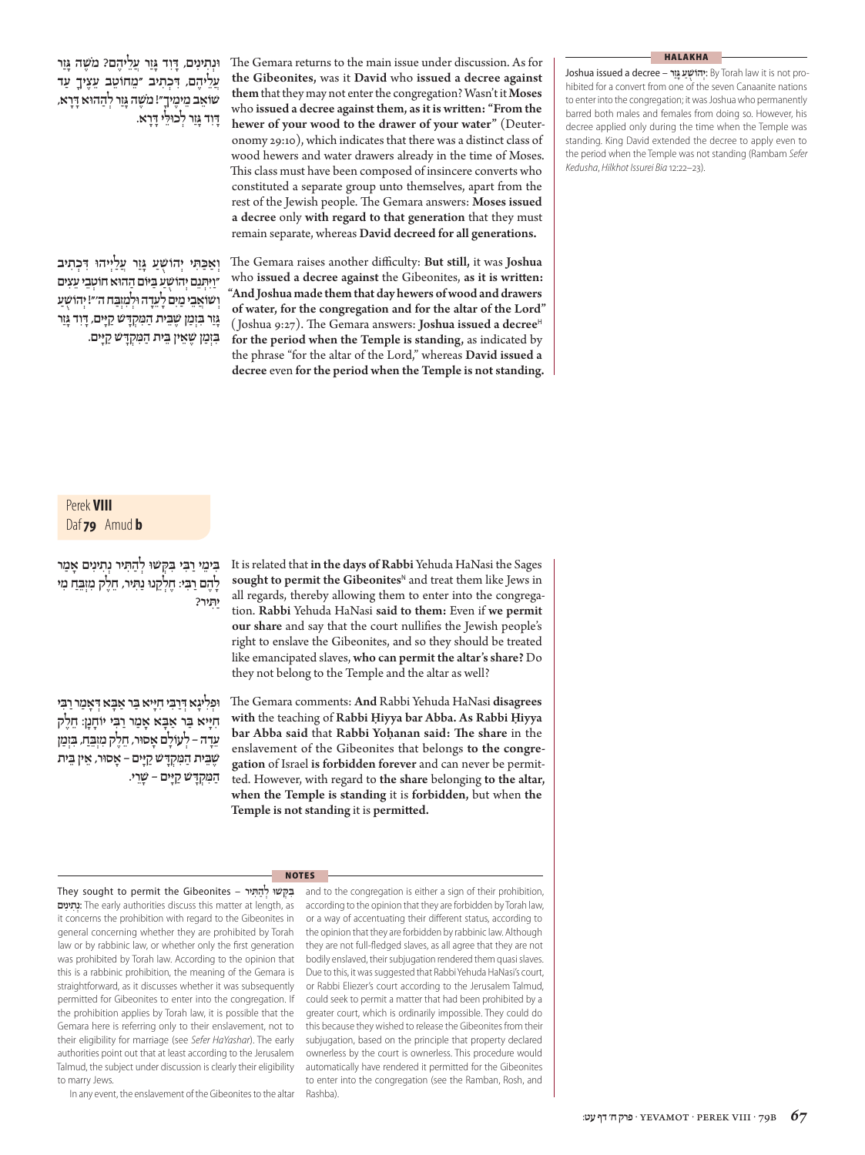**ּוְנ ִת ִינים, ָּדִוד ָּגַזר ֲעֵל ֶיהם? מֹ ֶׁשה ָּגַזר ֲעֵל ֶיהם, ִ ּד ְכ ִתיב ֵ״מ ֵחוֹטב ֵעֶצ ָיך ַעד ׁש ֵוֹאב ֵמ ֶימ ָיך״! מֹ ֶׁשהָּגַזר ְלַה ּהואָּדָרא, ָּדִודָּגַזר ְל ּכוֵּליָּדָרא.** 

The Gemara returns to the main issue under discussion. As for **the Gibeonites,** was it **David** who **issued a decree against them** that they may not enter the congregation? Wasn't it **Moses**  who issued a decree against them, as it is written: "From the **hewer of your wood to the drawer of your water"** (Deuteronomy 29:10), which indicates that there was a distinct class of wood hewers and water drawers already in the time of Moses. This class must have been composed of insincere converts who constituted a separate group unto themselves, apart from the rest of the Jewish people. The Gemara answers: Moses issued **a decree** only **with regard to that generation** that they must remain separate, whereas **David decreed for all generations.**

**ּכ ִּתי ְי ֻׁ הוֹשע ָּגַזר ֲעַלְי ּ יהו ִ ּד ְכ ִתיב ְוַאַ ַ״וִיּ ְּתֵנם ְי ֻׁהוֹשע ַּביּוֹם ַה ּהוא ְחוֹטֵבי ֵע ִצים ְו ׁש ֲוֹאֵבי ַמִים ָלֵעָדה ּוְל ִמְזַּבח ה׳״! ְי ֻׁהוֹשע ָּגַזר ִּבְזַמן ֶׁשֵּבית ַה ִּמ ְקָּד ׁשַקָיּים, ָּדִודָּגַזר ִּבְזַמן ֶׁשֵאין ֵּבית ַה ִּמ ְקָּד ׁש ַקָיּים.** The Gemara raises another difficulty: But still, it was Joshua who issued a decree against the Gibeonites, as it is written: **"And Joshua made them that day hewers of wood and drawers of water, for the congregation and for the altar of the Lord"**  (Joshua 9:27). The Gemara answers: **Joshua issued a decree**<sup>H</sup> **for the period when the Temple is standing,** as indicated by the phrase "for the altar of the Lord," whereas **David issued a decree** even **for the period when the Temple is not standing.** 

#### **HALAKHA**

 Joshua issued a decree – **זרַגָּעהוֹשֻׁ יְ**: By Torah law it is not prohibited for a convert from one of the seven Canaanite nations to enter into the congregation; it was Joshua who permanently barred both males and females from doing so. However, his decree applied only during the time when the Temple was standing. King David extended the decree to apply even to the period when the Temple was not standing (Rambam *Sefer Kedusha*, *Hilkhot Issurei Bia* 12:22–23).

# Perek **VIII** Daf **79** Amud **b**

**ִּב ֵימי ַרִּבי ִּב ְּק ׁשּו ְלַה ִּתיר ְנ ִת ִינים ָאַמר ָלֶהםַרִּבי: ֶח ְלֵק ּנו ַנ ִּתיר, ֵחֶלק ִמְזֵּבח ִמי ַי ִּתיר?**  It is related that **in the days of Rabbi** Yehuda HaNasi the Sages sought to permit the Gibeonites<sup>N</sup> and treat them like Jews in all regards, thereby allowing them to enter into the congregation. **Rabbi** Yehuda HaNasi **said to them:** Even if **we permit**  our share and say that the court nullifies the Jewish people's right to enslave the Gibeonites, and so they should be treated like emancipated slaves, **who can permit the altar's share?** Do they not belong to the Temple and the altar as well?

**ּו ְפ ִל ָיגא ְ ּדַרִּבי ִחָיּיא ַּבר ַאָּבא ְ ּדָאַמרַרִּבי ִחָיּיא ַּבר ַאָּבא ָאַמרַרִּבי ָ יוֹחָנן: ֵחֶלק ֵעָדה – ְל ָעוֹלם ָא ּסור, ֵחֶלק ִמְזֵּבח, ִּבְזַמן ֶׁשֵּבית ַה ִּמ ְקָּד ׁשַקָיּים – ָא ּסור, ֵאין ֵּבית ַה ִּמ ְקָּד ׁש ַקָיּים – ָׁשֵרי.** The Gemara comments: And Rabbi Yehuda HaNasi disagrees **with** the teaching of **Rabbi Ĥiyya bar Abba. As Rabbi Ĥiyya bar Abba said** that **Rabbi Yoĥanan said: Th e share** in the enslavement of the Gibeonites that belongs **to the congregation** of Israel **is forbidden forever** and can never be permitted. However, with regard to **the share** belonging **to the altar, when the Temple is standing** it is **forbidden,** but when **the Temple is not standing** it is **permitt ed.**

#### **NOTES**

**Example Index is permit the Gibeonites – בִּקְשׁוּ לְהֵתִּיר יניםִ תִנְ**: The early authorities discuss this matter at length, as it concerns the prohibition with regard to the Gibeonites in general concerning whether they are prohibited by Torah law or by rabbinic law, or whether only the first generation was prohibited by Torah law. According to the opinion that this is a rabbinic prohibition, the meaning of the Gemara is straightforward, as it discusses whether it was subsequently permitted for Gibeonites to enter into the congregation. If the prohibition applies by Torah law, it is possible that the Gemara here is referring only to their enslavement, not to their eligibility for marriage (see *Sefer HaYashar*). The early authorities point out that at least according to the Jerusalem Talmud, the subject under discussion is clearly their eligibility to marry Jews.

In any event, the enslavement of the Gibeonites to the altar

and to the congregation is either a sign of their prohibition, according to the opinion that they are forbidden by Torah law, or a way of accentuating their different status, according to the opinion that they are forbidden by rabbinic law. Although they are not full-fledged slaves, as all agree that they are not bodily enslaved, their subjugation rendered them quasi slaves. Due to this, it was suggested that Rabbi Yehuda HaNasi's court, or Rabbi Eliezer's court according to the Jerusalem Talmud, could seek to permit a matter that had been prohibited by a greater court, which is ordinarily impossible. They could do this because they wished to release the Gibeonites from their subjugation, based on the principle that property declared ownerless by the court is ownerless. This procedure would automatically have rendered it permitted for the Gibeonites to enter into the congregation (see the Ramban, Rosh, and Rashba).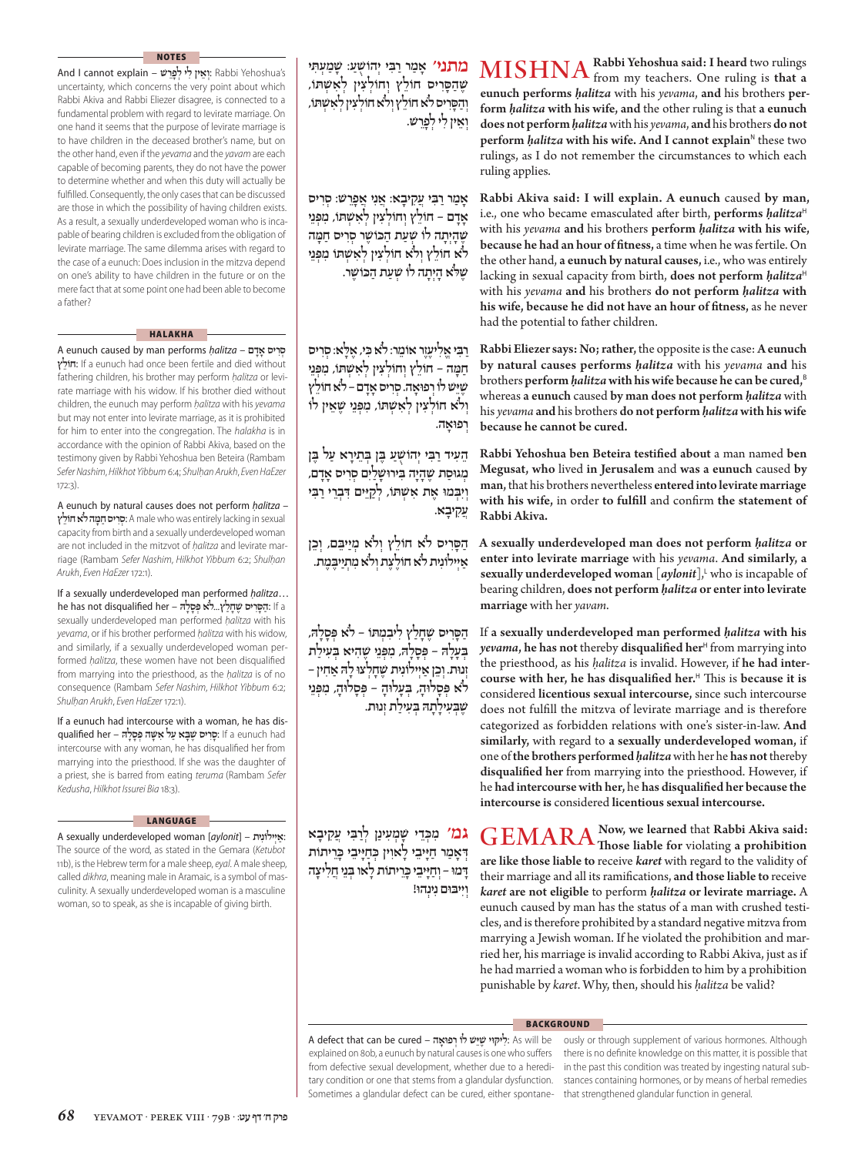# **NOTES**

 s'Yehoshua Rabbi **ְ**:**וֵאין ִלי ְלָפֵרׁש** – explain cannot I And uncertainty, which concerns the very point about which Rabbi Akiva and Rabbi Eliezer disagree, is connected to a fundamental problem with regard to levirate marriage. On one hand it seems that the purpose of levirate marriage is to have children in the deceased brother's name, but on the other hand, even if the *yevama* and the *yavam* are each capable of becoming parents, they do not have the power to determine whether and when this duty will actually be fulfilled. Consequently, the only cases that can be discussed are those in which the possibility of having children exists. As a result, a sexually underdeveloped woman who is incapable of bearing children is excluded from the obligation of levirate marriage. The same dilemma arises with regard to the case of a eunuch: Does inclusion in the mitzva depend on one's ability to have children in the future or on the mere fact that at some point one had been able to become a father?

### **HALAKHA**

 A eunuch caused by man performs *ĥalitza* – **דםָאָ ריסִסְ חוֹלץֵ** : If a eunuch had once been fertile and died without fathering children, his brother may perform *ĥalitza* or levirate marriage with his widow. If his brother died without children, the eunuch may perform *ĥalitza* with his *yevama* but may not enter into levirate marriage, as it is prohibited for him to enter into the congregation. The *halakha* is in accordance with the opinion of Rabbi Akiva, based on the testimony given by Rabbi Yehoshua ben Beteira (Rambam *Sefer Nashim*, *Hilkhot Yibbum* 6:4; *Shulĥan Arukh*, *Even HaEzer*  $172:3)$ 

 A eunuch by natural causes does not perform *ĥalitza* – **חוֹלץֵ אֹל מהָּ חַ ריסִסְ** : A male who was entirely lacking in sexual capacity from birth and a sexually underdeveloped woman are not included in the mitzvot of *ĥalitza* and levirate marriage (Rambam *Sefer Nashim*, *Hilkhot Yibbum* 6:2; *Shulĥan Arukh*, *Even HaEzer* 172:1).

 If a sexually underdeveloped man performed *ĥalitza*… a If **ַ**:**ה ָּסִריס ֶׁשָחַלץ...לֹא ְּפָסָל ּה** – her disqualified not has he sexually underdeveloped man performed *ĥalitza* with his *yevama*, or if his brother performed *ĥalitza* with his widow, and similarly, if a sexually underdeveloped woman performed *ĥalitza*, these women have not been disqualified from marrying into the priesthood, as the *ĥalitza* is of no consequence (Rambam *Sefer Nashim*, *Hilkhot Yibbum* 6:2; *Shulĥan Arukh*, *Even HaEzer* 172:1).

 If a eunuch had intercourse with a woman, he has disqualified her – **הּ לָסָפְּ שהָּׁאִ עלַ באָּשֶׁ ריסִסָ**: If a eunuch had intercourse with any woman, he has disqualified her from marrying into the priesthood. If she was the daughter of a priest, she is barred from eating *teruma* (Rambam *Sefer Kedusha*, *Hilkhot Issurei Bia* 18:3).

# **LANGUAGE**

 A sexually underdeveloped woman [*aylonit*] – **ילוֹנית ִ יְאַ**: The source of the word, as stated in the Gemara (*Ketubot* 11b), is the Hebrew term for a male sheep, *eyal*. A male sheep, called *dikhra*, meaning male in Aramaic, is a symbol of masculinity. A sexually underdeveloped woman is a masculine woman, so to speak, as she is incapable of giving birth.

<mark>מתני׳</mark> אָמַי וַבִּי יְהוֹשֻעַ: שָּׁמַעְתִּי<br>שֶׁהַסְּרִים חוֹלֵץ וְחוֹלְצִין לְאִשְתּוֹ, **ְוַה ָּסִריס לֹא ֵחוֹלץ ְולֹא ְחוֹל ִצין ְל ִאׁ ְשּתוֹ, ְוֵאין ִלי ְלָפֵרׁש.** 

**ָאַמרַרִּבי ֲע ִק ָיבא: ֲאִני ֲאָפֵרׁש: ְסִריס ָאָדם – ֵחוֹלץ ְו ְחוֹל ִצין ְל ִאׁ ְשּתוֹ, ִמְּפֵני ֶׁשָהְיָתה לוֹ ׁ ְשַעת ַה ּכ ֶׁ וֹשר ְסִריס ַח ָּמה לֹא ֵחוֹלץ ְולֹא ְחוֹל ִצין ְל ִאׁ ְשּתוֹ ִמְּפֵני ֶׁשּלֹא ָהְיָתה לוֹ ׁ ְשַעת ַה ּכ ֶׁ וֹשר.** 

**ּלא: ְסִריס ּכי, ֶאָ ַרִּביֱאִל ֶיעֶזר ֵאוֹמר: לֹא ִ ַח ָּמה – ֵחוֹלץ ְו ְחוֹל ִצין ְל ִאׁ ְשּתוֹ, ִמְּפֵני ֶׁשֵיּׁשלוֹ ְר ּפוָאה. ְסִריס ָאָדם – לֹא ֵחוֹלץ ְולֹא ְחוֹל ִצין ְל ִאׁ ְש ּתוֹ, ִמְּפֵני ֶׁשֵאין לוֹ ְר ּפוָאה.** 

**ֵה ִעיד ַרִּבי ְי ֻׁ הוֹשע ֶּבן ְּבֵתָירא ַעל ֶּבן ְמ ּגוַסת ֶׁשָהָיה ִּב ּ ירו ָׁשַלִים ְסִריס ָאָדם, ְוִי ְּב ּמו ֶאת ִאׁ ְש ּתוֹ, ְלַקֵיּים ִ ּד ְבֵרי ַרִּבי ֲעִק ָיבא.** 

**ַה ָּסִריס לֹא ֵחוֹלץ ְולֹא ְמַי ֵּיבם, ְוֵכן ַאְי ִ ילוֹנית לֹא ֶחוֹלֶצתְולֹא ִמ ְתַי ֶּיבֶמת.** 

**ַה ָּסִריס ֶׁשָחַלץ ִל ִיב ְמ ּתוֹ – לֹא ְּפָסָל ּה, ְּבָעָל ּה – ְּפָסָל ּה, ִמְּפֵני ֶׁש ִהיא ְּב ִע ַילת ְז ּנות. ְוֵכן ַאְי ִ ילוֹנית ֶׁשָח ְל ּצו ָל ּה ַא ִחין – לֹא ְּפָס ּלוָה, ְּבָע ּלוָה – ְּפָס ּלוָה, ִמְּפֵני ֶׁשְּב ִע ָילָת ּה ְּב ִע ַילת ְז ּנות.**

**ּכֵדי ָׁש ְמ ִע ַינן ְלַרִּבי ֲע ִק ָיבא גמ׳ ִמ ְ ּכֵריתוֹת ּכַחָיּ ֵיבי ָ ְ ּדָאַמר ַחָיּ ֵיבי ָל ִאוין ְ ּכֵריתוֹת ָלאו ְּבֵניֲח ִל ָיצה ָּד ּמו – ְוַחָיּ ֵיבי ָ ְוִי ּיבּום ִנ ְינ ּהו!** 

mishna **Rabbi Yehoshua said: I heard** two rulings from my teachers. One ruling is **that a eunuch performs** *ĥalitza* with his *yevama*, **and** his brothers **perform** *ĥalitza* **with his wife, and** the other ruling is that **a eunuch does not perform** *ĥalitza*with his *yevama*, **and** his brothers **do not perform** *halitza* with his wife. And I cannot explain<sup>N</sup> these two rulings, as I do not remember the circumstances to which each ruling applies.

**Rabbi Akiva said: I will explain. A eunuch** caused **by man,**  i.e., one who became emasculated after birth, performs *halitza<sup>H</sup>* with his *yevama* **and** his brothers **perform** *ĥalitza* **with his wife, because he had an hour of fi tness,** a time when he was fertile. On the other hand, **a eunuch by natural causes,** i.e., who was entirely lacking in sexual capacity from birth, **does not perform** *halitza<sup>H</sup>* with his *yevama* **and** his brothers **do not perform** *ĥalitza* **with his wife, because he did not have an hour of fi tness,** as he never had the potential to father children.

**Rabbi Eliezer says: No; rather,** the opposite is the case: **A eunuch by natural causes performs** *ĥalitza* with his *yevama* **and** his brothers **perform** *ĥalitza* **with his wife because he can be cured,**<sup>B</sup> whereas **a eunuch** caused **by man does not perform** *ĥalitza* with his *yevama* **and** his brothers **do not perform** *ĥalitza* **with his wife because he cannot be cured.**

**Rabbi Yehoshua ben Beteira testifi ed about** a man named **ben Megusat, who** lived **in Jerusalem** and **was a eunuch** caused **by man,** that his brothers nevertheless **entered into levirate marriage**  with his wife, in order to fulfill and confirm the statement of **Rabbi Akiva.**

**A sexually underdeveloped man does not perform** *ĥalitza* **or enter into levirate marriage** with his *yevama*. **And similarly, a sexually underdeveloped woman** [*aylonit*],<sup>L</sup> who is incapable of bearing children, **does not perform** *ĥalitza* **or enter into levirate marriage** with her *yavam*.

If **a sexually underdeveloped man performed** *ĥalitza* **with his**  *yevama*, he has not thereby disqualified her<sup>H</sup> from marrying into the priesthood, as his *ĥalitza* is invalid. However, if **he had inter**course with her, he has disqualified her.<sup>H</sup> This is because it is considered **licentious sexual intercourse,** since such intercourse does not fulfill the mitzva of levirate marriage and is therefore categorized as forbidden relations with one's sister-in-law. **And similarly,** with regard to **a sexually underdeveloped woman,** if one of**the brothers performed** *ĥalitza*with her he **has not** thereby **disqualifi ed her** from marrying into the priesthood. However, if he **had intercourse with her,** he **has disqualifi ed her because the intercourse is** considered **licentious sexual intercourse.**

 $\mathbf{GEMARA}^{\mathbf{Now, we learned that Rabbi Akiva said: \mathbf{A}}$  Those liable for violating a prohibition **are like those liable to** receive *karet* with regard to the validity of their marriage and all its ramifications, **and those liable to** receive *karet* **are not eligible** to perform *ĥalitza* **or levirate marriage.** A eunuch caused by man has the status of a man with crushed testicles, and is therefore prohibited by a standard negative mitzva from marrying a Jewish woman. If he violated the prohibition and married her, his marriage is invalid according to Rabbi Akiva, just as if he had married a woman who is forbidden to him by a prohibition punishable by *karet*. Why, then, should his *ĥalitza* be valid?

#### **BACKGROUND**

 be will As : **ִל ּיקּוי ֶׁשֵיּׁש לוֹ ְר ּפוָאה** – cured be can that defect A explained on 80b, a eunuch by natural causes is one who suffers from defective sexual development, whether due to a hereditary condition or one that stems from a glandular dysfunction. Sometimes a glandular defect can be cured, either spontane-

ously or through supplement of various hormones. Although there is no definite knowledge on this matter, it is possible that in the past this condition was treated by ingesting natural substances containing hormones, or by means of herbal remedies that strengthened glandular function in general.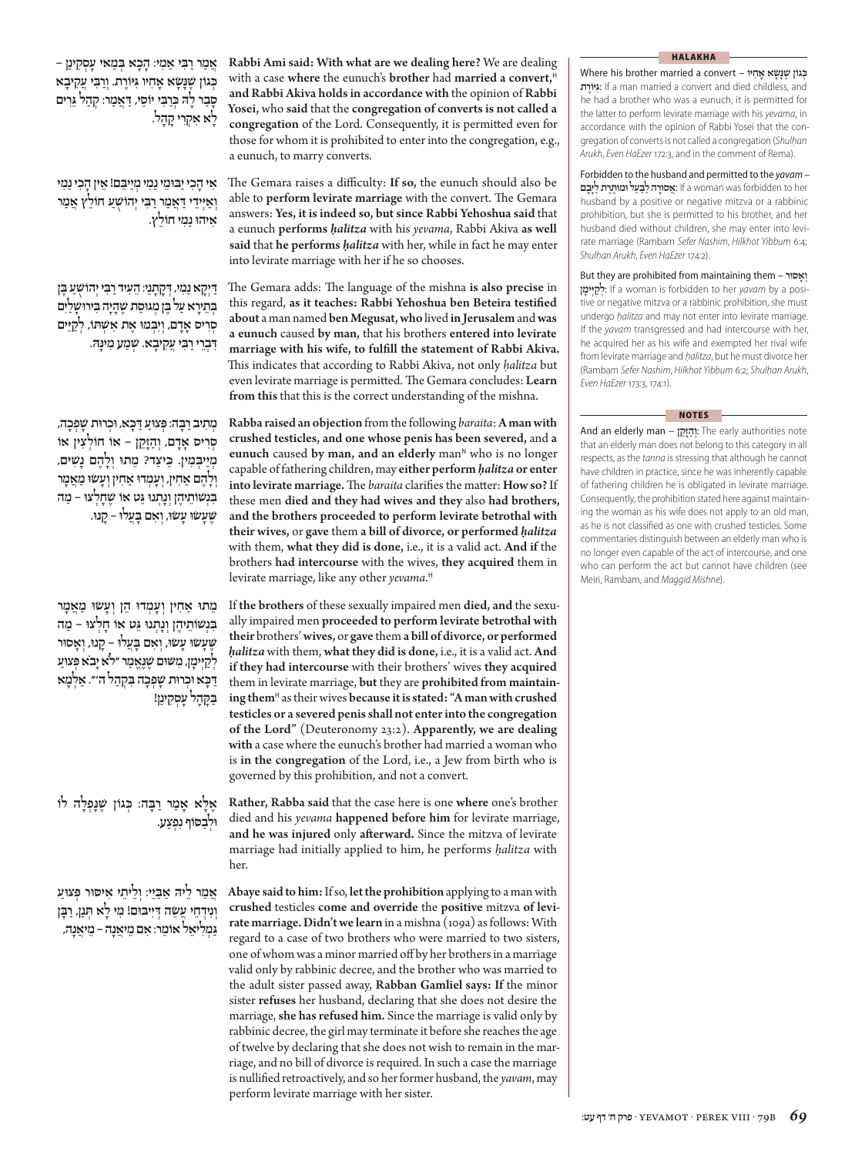| אֲמַר וַבִּי אֲמִי: הָכָא בִּמַאי עָסְקִינַן –<br>בְּגוֹן שֶׁנָּשָׂא אָחִיו גִּיּוֹרֶת. וְרַבִּי עֲקִיבָא<br>סָבַר לָהּ כְּרַבִּי יוֹסֵי, דַּאֲמַר: קְהַל גֵּרִים<br>לַא אִקְרִי קַהָּל.                                                                                                                      | Rabbi Ami said: With what are we dealing here? We are dealing<br>with a case where the eunuch's brother had married a convert, <sup>H</sup><br>and Rabbi Akiva holds in accordance with the opinion of Rabbi<br>Yosei, who said that the congregation of converts is not called a<br>congregation of the Lord. Consequently, it is permitted even for<br>those for whom it is prohibited to enter into the congregation, e.g.,<br>a eunuch, to marry converts.                                                                                                                                                                                                                                                                                                                                                                                                         |
|---------------------------------------------------------------------------------------------------------------------------------------------------------------------------------------------------------------------------------------------------------------------------------------------------------------|------------------------------------------------------------------------------------------------------------------------------------------------------------------------------------------------------------------------------------------------------------------------------------------------------------------------------------------------------------------------------------------------------------------------------------------------------------------------------------------------------------------------------------------------------------------------------------------------------------------------------------------------------------------------------------------------------------------------------------------------------------------------------------------------------------------------------------------------------------------------|
| אִי הָכִי יַבּוּמֵי נַמִי מְיַיִּבֵּם! אֵין הָכִי נַמִי<br>וְאַיְיָדֵי דַּאֲמַר רַבִּי יְהוֹשָׁעַ חוֹלֵץ אֲמַר<br>איהוּ נמי חוֹלץ.                                                                                                                                                                            | The Gemara raises a difficulty: If so, the eunuch should also be<br>able to perform levirate marriage with the convert. The Gemara<br>answers: Yes, it is indeed so, but since Rabbi Yehoshua said that<br>a eunuch performs halitza with his yevama, Rabbi Akiva as well<br>said that he performs halitza with her, while in fact he may enter<br>into levirate marriage with her if he so chooses.                                                                                                                                                                                                                                                                                                                                                                                                                                                                   |
| דַיְקָא נַמִי, דְּקָתָנֵי: הֵעִיד רַבִּי יְהוֹשָׁעַ בֶּן<br>בִּתֵירָא עַל בֶּן מְגוּסַת שֶׁהָיָה בִּירוּשָׁלַיִם<br>קְרִים אָדָם, וְיִבְּמוּ אֶת אִשְׁתּוֹ, לְקַיֵּים<br>דִּבְרֵי רַבִּי עֲקִיבָא. שְׁמַע מִינָּהּ.                                                                                           | The Gemara adds: The language of the mishna is also precise in<br>this regard, as it teaches: Rabbi Yehoshua ben Beteira testified<br>about a man named ben Megusat, who lived in Jerusalem and was<br>a eunuch caused by man, that his brothers entered into levirate<br>marriage with his wife, to fulfill the statement of Rabbi Akiva.<br>This indicates that according to Rabbi Akiva, not only halitza but<br>even levirate marriage is permitted. The Gemara concludes: Learn<br>from this that this is the correct understanding of the mishna.                                                                                                                                                                                                                                                                                                                |
| מְתִיב רַבָּה: פִּצוּעַ דַּכָּא, וּכִרוּת שָׁפִּכָה,<br>קִרִים אֲדָם, וְהַזָּקֵן – אוֹ חוֹלְצִין אוֹ<br>מְיַבְּמִין. כֵּיצַד? מֵתוּ וְלָהֶם נָשִׁים,<br>וְלָהֶם אַחִין, וְעָמְדוּ אַחִין וְעָשׂוּ מַאֲמָר<br>בִּנְשׁוֹתֵיהֶן וְנַתְנוּ גֵּט אוֹ שֶׁחַלְצוּ – מַה<br>שַׁעֲשׁוּ עַשׁוּ, וְאִם בַּעֲלוּ - קַנוּ. | Rabba raised an objection from the following baraita: A man with<br>crushed testicles, and one whose penis has been severed, and a<br>eunuch caused by man, and an elderly man <sup>N</sup> who is no longer<br>capable of fathering children, may either perform halitza or enter<br>into levirate marriage. The baraita clarifies the matter: How so? If<br>these men died and they had wives and they also had brothers,<br>and the brothers proceeded to perform levirate betrothal with<br>their wives, or gave them a bill of divorce, or performed halitza<br>with them, what they did is done, i.e., it is a valid act. And if the<br>brothers had intercourse with the wives, they acquired them in<br>levirate marriage, like any other yevama. <sup>H</sup>                                                                                                 |
| מֵתוּ אַחִין וְעָמְדוּ הֵן וְעָשׂוּ מַאֲמֶר<br>בִּנְשׁוֹתֵיהֵן וְנַתְנוּ גֵּט אוֹ חַלְצוּ – מַה<br>שֵׁעֲשׁוּ עַשׁוּ, וְאִם בָּעֲלוּ - קָנוּ, וְאָסוּר<br>לְקַיִּיבְן, מִשׁוּם שֶׁנֶאֱמַר ״לֹא יָבֹא פִּצוּעַ<br>דַכָּא וּכְרוּת שָׁפְּכָה בִּקְהַל ה׳״. אַלְמָא<br>בַּקַהַל עַסְקִינֵן!                       | If the brothers of these sexually impaired men died, and the sexu-<br>ally impaired men proceeded to perform levirate betrothal with<br>their brothers' wives, or gave them a bill of divorce, or performed<br>halitza with them, what they did is done, i.e., it is a valid act. And<br>if they had intercourse with their brothers' wives they acquired<br>them in levirate marriage, but they are prohibited from maintain-<br>ing them <sup>H</sup> as their wives because it is stated: "A man with crushed<br>testicles or a severed penis shall not enter into the congregation<br>of the Lord" (Deuteronomy 23:2). Apparently, we are dealing<br>with a case where the eunuch's brother had married a woman who<br>is in the congregation of the Lord, i.e., a Jew from birth who is<br>governed by this prohibition, and not a convert.                       |
| אֶלָא אָמַר וַבָּה: כְּגוֹן שֶׁנָּמְלָה לוֹ<br>וּלְבַסּוֹף נִפְצַע.                                                                                                                                                                                                                                           | <b>Rather, Rabba said that the case here is one where one's brother</b><br>died and his <i>yevama</i> happened before him for levirate marriage,<br>and he was injured only afterward. Since the mitzva of levirate<br>marriage had initially applied to him, he performs halitza with<br>her.                                                                                                                                                                                                                                                                                                                                                                                                                                                                                                                                                                         |
| אֲמַר לֵיה אַבַּיֵי: וְלֵיתֵי אִיסּוּר פְּצוּעַ<br>וְנִידְהֵי עֲשֵׂה דְיִיבּוּם! מִי לָא תְּנַן, רַבְּן<br>גַּמְלִיאֵל אוֹמֵר: אִם מֵיאֲנָה – מֵיאֲנָה,                                                                                                                                                       | Abaye said to him: If so, let the prohibition applying to a man with<br>crushed testicles come and override the positive mitzva of levi-<br>rate marriage. Didn't we learn in a mishna (109a) as follows: With<br>regard to a case of two brothers who were married to two sisters,<br>one of whom was a minor married off by her brothers in a marriage<br>valid only by rabbinic decree, and the brother who was married to<br>the adult sister passed away, Rabban Gamliel says: If the minor<br>sister refuses her husband, declaring that she does not desire the<br>marriage, she has refused him. Since the marriage is valid only by<br>rabbinic decree, the girl may terminate it before she reaches the age<br>of twelve by declaring that she does not wish to remain in the mar-<br>riage, and no bill of divorce is required. In such a case the marriage |

### **HALAKHA**

**ּכגוֹן ֶׁשָּנָׂשא ָא ִחיו** – convert a married brother his Where **ְ יּוֹרתֶ גִּ**: If a man married a convert and died childless, and he had a brother who was a eunuch, it is permitted for the latter to perform levirate marriage with his *yevama*, in accordance with the opinion of Rabbi Yosei that the congregation of converts is not called a congregation (*Shulĥan Arukh*, *Even HaEzer* 172:3, and in the comment of Rema).

 Forbidden to the husband and permitted to the *yavam* – her to forbidden was woman a If **ֲ**:**א ּסוָרה ַלַּבַעל ּו ּמו ֶּתֶרת ַלָיָּבם** husband by a positive or negative mitzva or a rabbinic prohibition, but she is permitted to his brother, and her husband died without children, she may enter into levirate marriage (Rambam *Sefer Nashim*, *Hilkhot Yibbum* 6:4; *Shulĥan Arukh*, *Even HaEzer* 174:2).

 But they are prohibited from maintaining them – **סורּ אָוְ ימןָ יְּקַלְ** : If a woman is forbidden to her *yavam* by a positive or negative mitzva or a rabbinic prohibition, she must undergo *ĥalitza* and may not enter into levirate marriage. If the *yavam* transgressed and had intercourse with her, he acquired her as his wife and exempted her rival wife from levirate marriage and *ĥalitza*, but he must divorce her (Rambam *Sefer Nashim*, *Hilkhot Yibbum* 6:2; *Shulĥan Arukh*, *Even HaEzer* 173:3, 174:1).

## **NOTES**

 And an elderly man – **קןֵזָּהַוְ**: The early authorities note that an elderly man does not belong to this category in all respects, as the *tanna* is stressing that although he cannot have children in practice, since he was inherently capable of fathering children he is obligated in levirate marriage. Consequently, the prohibition stated here against maintaining the woman as his wife does not apply to an old man, as he is not classified as one with crushed testicles. Some commentaries distinguish between an elderly man who is no longer even capable of the act of intercourse, and one who can perform the act but cannot have children (see Meiri, Rambam, and *Maggid Mishne*).

is nullified retroactively, and so her former husband, the *yavam*, may

perform levirate marriage with her sister.